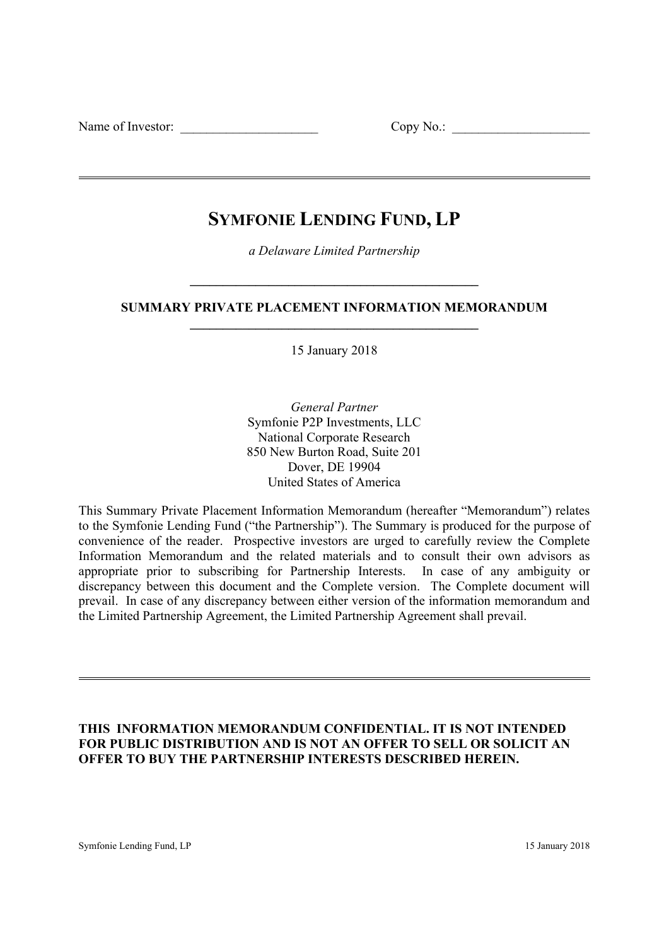Name of Investor:  $\Box$  Copy No.:  $\Box$ 

# **SYMFONIE LENDING FUND, LP**

*a Delaware Limited Partnership* 

**\_\_\_\_\_\_\_\_\_\_\_\_\_\_\_\_\_\_\_\_\_\_\_\_\_\_\_\_\_\_\_\_\_\_\_\_\_\_\_\_\_\_\_\_** 

**SUMMARY PRIVATE PLACEMENT INFORMATION MEMORANDUM \_\_\_\_\_\_\_\_\_\_\_\_\_\_\_\_\_\_\_\_\_\_\_\_\_\_\_\_\_\_\_\_\_\_\_\_\_\_\_\_\_\_\_\_** 

15 January 2018

*General Partner* Symfonie P2P Investments, LLC National Corporate Research 850 New Burton Road, Suite 201 Dover, DE 19904 United States of America

This Summary Private Placement Information Memorandum (hereafter "Memorandum") relates to the Symfonie Lending Fund ("the Partnership"). The Summary is produced for the purpose of convenience of the reader. Prospective investors are urged to carefully review the Complete Information Memorandum and the related materials and to consult their own advisors as appropriate prior to subscribing for Partnership Interests. In case of any ambiguity or discrepancy between this document and the Complete version. The Complete document will prevail. In case of any discrepancy between either version of the information memorandum and the Limited Partnership Agreement, the Limited Partnership Agreement shall prevail.

# **THIS INFORMATION MEMORANDUM CONFIDENTIAL. IT IS NOT INTENDED FOR PUBLIC DISTRIBUTION AND IS NOT AN OFFER TO SELL OR SOLICIT AN OFFER TO BUY THE PARTNERSHIP INTERESTS DESCRIBED HEREIN.**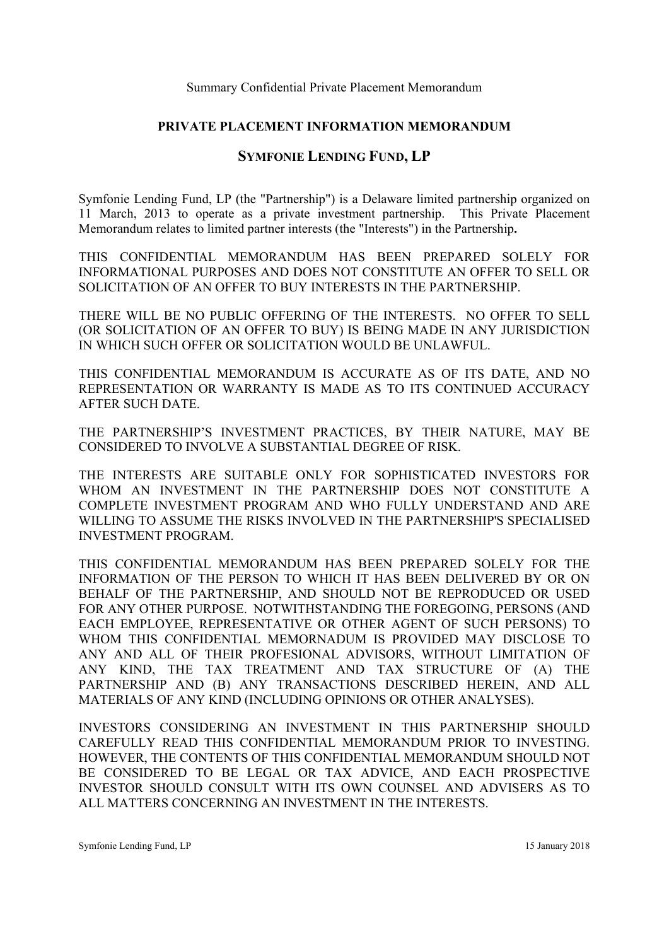### **PRIVATE PLACEMENT INFORMATION MEMORANDUM**

# **SYMFONIE LENDING FUND, LP**

Symfonie Lending Fund, LP (the "Partnership") is a Delaware limited partnership organized on 11 March, 2013 to operate as a private investment partnership. This Private Placement Memorandum relates to limited partner interests (the "Interests") in the Partnership**.** 

THIS CONFIDENTIAL MEMORANDUM HAS BEEN PREPARED SOLELY FOR INFORMATIONAL PURPOSES AND DOES NOT CONSTITUTE AN OFFER TO SELL OR SOLICITATION OF AN OFFER TO BUY INTERESTS IN THE PARTNERSHIP.

THERE WILL BE NO PUBLIC OFFERING OF THE INTERESTS. NO OFFER TO SELL (OR SOLICITATION OF AN OFFER TO BUY) IS BEING MADE IN ANY JURISDICTION IN WHICH SUCH OFFER OR SOLICITATION WOULD BE UNLAWFUL.

THIS CONFIDENTIAL MEMORANDUM IS ACCURATE AS OF ITS DATE, AND NO REPRESENTATION OR WARRANTY IS MADE AS TO ITS CONTINUED ACCURACY AFTER SUCH DATE.

THE PARTNERSHIP'S INVESTMENT PRACTICES, BY THEIR NATURE, MAY BE CONSIDERED TO INVOLVE A SUBSTANTIAL DEGREE OF RISK.

THE INTERESTS ARE SUITABLE ONLY FOR SOPHISTICATED INVESTORS FOR WHOM AN INVESTMENT IN THE PARTNERSHIP DOES NOT CONSTITUTE A COMPLETE INVESTMENT PROGRAM AND WHO FULLY UNDERSTAND AND ARE WILLING TO ASSUME THE RISKS INVOLVED IN THE PARTNERSHIP'S SPECIALISED INVESTMENT PROGRAM.

THIS CONFIDENTIAL MEMORANDUM HAS BEEN PREPARED SOLELY FOR THE INFORMATION OF THE PERSON TO WHICH IT HAS BEEN DELIVERED BY OR ON BEHALF OF THE PARTNERSHIP, AND SHOULD NOT BE REPRODUCED OR USED FOR ANY OTHER PURPOSE. NOTWITHSTANDING THE FOREGOING, PERSONS (AND EACH EMPLOYEE, REPRESENTATIVE OR OTHER AGENT OF SUCH PERSONS) TO WHOM THIS CONFIDENTIAL MEMORNADUM IS PROVIDED MAY DISCLOSE TO ANY AND ALL OF THEIR PROFESIONAL ADVISORS, WITHOUT LIMITATION OF ANY KIND, THE TAX TREATMENT AND TAX STRUCTURE OF (A) THE PARTNERSHIP AND (B) ANY TRANSACTIONS DESCRIBED HEREIN, AND ALL MATERIALS OF ANY KIND (INCLUDING OPINIONS OR OTHER ANALYSES).

INVESTORS CONSIDERING AN INVESTMENT IN THIS PARTNERSHIP SHOULD CAREFULLY READ THIS CONFIDENTIAL MEMORANDUM PRIOR TO INVESTING. HOWEVER, THE CONTENTS OF THIS CONFIDENTIAL MEMORANDUM SHOULD NOT BE CONSIDERED TO BE LEGAL OR TAX ADVICE, AND EACH PROSPECTIVE INVESTOR SHOULD CONSULT WITH ITS OWN COUNSEL AND ADVISERS AS TO ALL MATTERS CONCERNING AN INVESTMENT IN THE INTERESTS.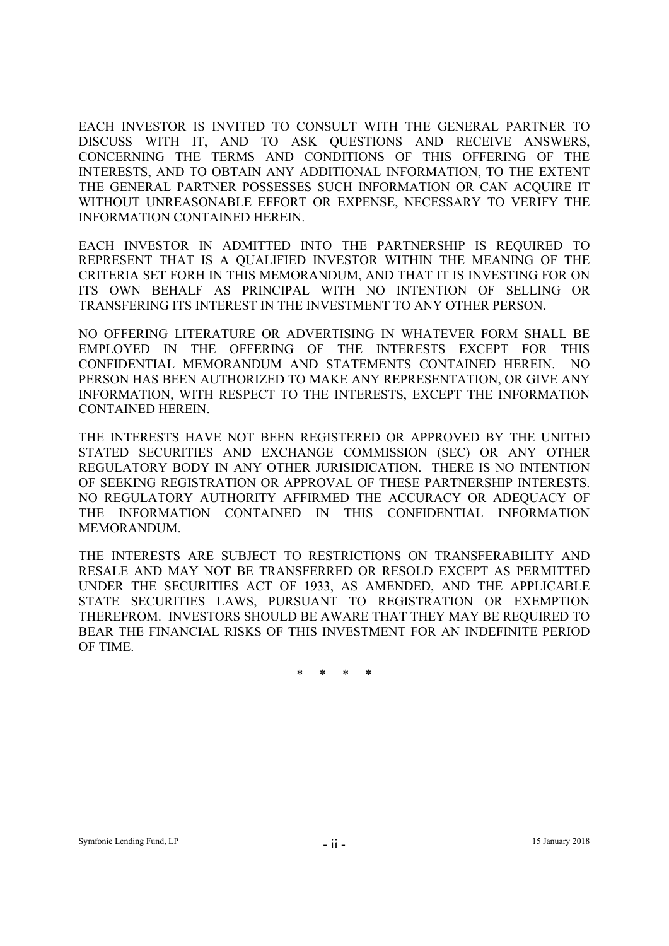EACH INVESTOR IS INVITED TO CONSULT WITH THE GENERAL PARTNER TO DISCUSS WITH IT, AND TO ASK QUESTIONS AND RECEIVE ANSWERS, CONCERNING THE TERMS AND CONDITIONS OF THIS OFFERING OF THE INTERESTS, AND TO OBTAIN ANY ADDITIONAL INFORMATION, TO THE EXTENT THE GENERAL PARTNER POSSESSES SUCH INFORMATION OR CAN ACQUIRE IT WITHOUT UNREASONABLE EFFORT OR EXPENSE, NECESSARY TO VERIFY THE INFORMATION CONTAINED HEREIN.

EACH INVESTOR IN ADMITTED INTO THE PARTNERSHIP IS REQUIRED TO REPRESENT THAT IS A QUALIFIED INVESTOR WITHIN THE MEANING OF THE CRITERIA SET FORH IN THIS MEMORANDUM, AND THAT IT IS INVESTING FOR ON ITS OWN BEHALF AS PRINCIPAL WITH NO INTENTION OF SELLING OR TRANSFERING ITS INTEREST IN THE INVESTMENT TO ANY OTHER PERSON.

NO OFFERING LITERATURE OR ADVERTISING IN WHATEVER FORM SHALL BE EMPLOYED IN THE OFFERING OF THE INTERESTS EXCEPT FOR THIS CONFIDENTIAL MEMORANDUM AND STATEMENTS CONTAINED HEREIN. NO PERSON HAS BEEN AUTHORIZED TO MAKE ANY REPRESENTATION, OR GIVE ANY INFORMATION, WITH RESPECT TO THE INTERESTS, EXCEPT THE INFORMATION CONTAINED HEREIN.

THE INTERESTS HAVE NOT BEEN REGISTERED OR APPROVED BY THE UNITED STATED SECURITIES AND EXCHANGE COMMISSION (SEC) OR ANY OTHER REGULATORY BODY IN ANY OTHER JURISIDICATION. THERE IS NO INTENTION OF SEEKING REGISTRATION OR APPROVAL OF THESE PARTNERSHIP INTERESTS. NO REGULATORY AUTHORITY AFFIRMED THE ACCURACY OR ADEQUACY OF THE INFORMATION CONTAINED IN THIS CONFIDENTIAL INFORMATION MEMORANDUM.

THE INTERESTS ARE SUBJECT TO RESTRICTIONS ON TRANSFERABILITY AND RESALE AND MAY NOT BE TRANSFERRED OR RESOLD EXCEPT AS PERMITTED UNDER THE SECURITIES ACT OF 1933, AS AMENDED, AND THE APPLICABLE STATE SECURITIES LAWS, PURSUANT TO REGISTRATION OR EXEMPTION THEREFROM. INVESTORS SHOULD BE AWARE THAT THEY MAY BE REQUIRED TO BEAR THE FINANCIAL RISKS OF THIS INVESTMENT FOR AN INDEFINITE PERIOD OF TIME.

\* \* \* \*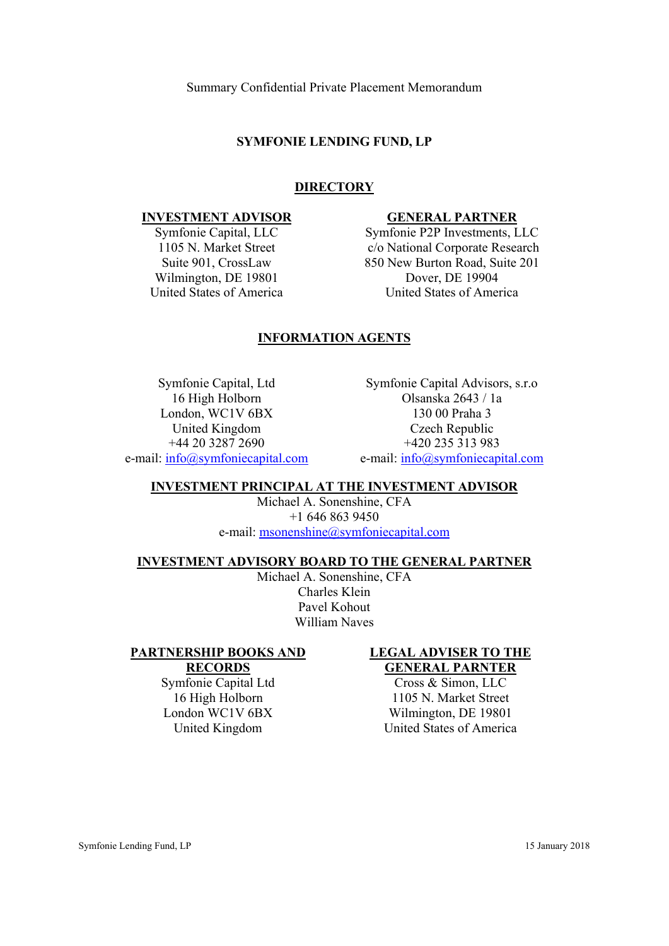### **SYMFONIE LENDING FUND, LP**

### **DIRECTORY**

#### **INVESTMENT ADVISOR**

Symfonie Capital, LLC 1105 N. Market Street Suite 901, CrossLaw Wilmington, DE 19801 United States of America

#### **GENERAL PARTNER**

Symfonie P2P Investments, LLC c/o National Corporate Research 850 New Burton Road, Suite 201 Dover, DE 19904 United States of America

# **INFORMATION AGENTS**

Symfonie Capital, Ltd 16 High Holborn London, WC1V 6BX United Kingdom +44 20 3287 2690 e-mail: info@symfoniecapital.com

Symfonie Capital Advisors, s.r.o Olsanska 2643 / 1a 130 00 Praha 3 Czech Republic +420 235 313 983 e-mail: info@symfoniecapital.com

# **INVESTMENT PRINCIPAL AT THE INVESTMENT ADVISOR**

Michael A. Sonenshine, CFA +1 646 863 9450 e-mail: msonenshine@symfoniecapital.com

#### **INVESTMENT ADVISORY BOARD TO THE GENERAL PARTNER**

Michael A. Sonenshine, CFA Charles Klein Pavel Kohout William Naves

#### **PARTNERSHIP BOOKS AND RECORDS**

Symfonie Capital Ltd 16 High Holborn London WC1V 6BX United Kingdom

#### **LEGAL ADVISER TO THE GENERAL PARNTER**

Cross & Simon, LLC 1105 N. Market Street Wilmington, DE 19801 United States of America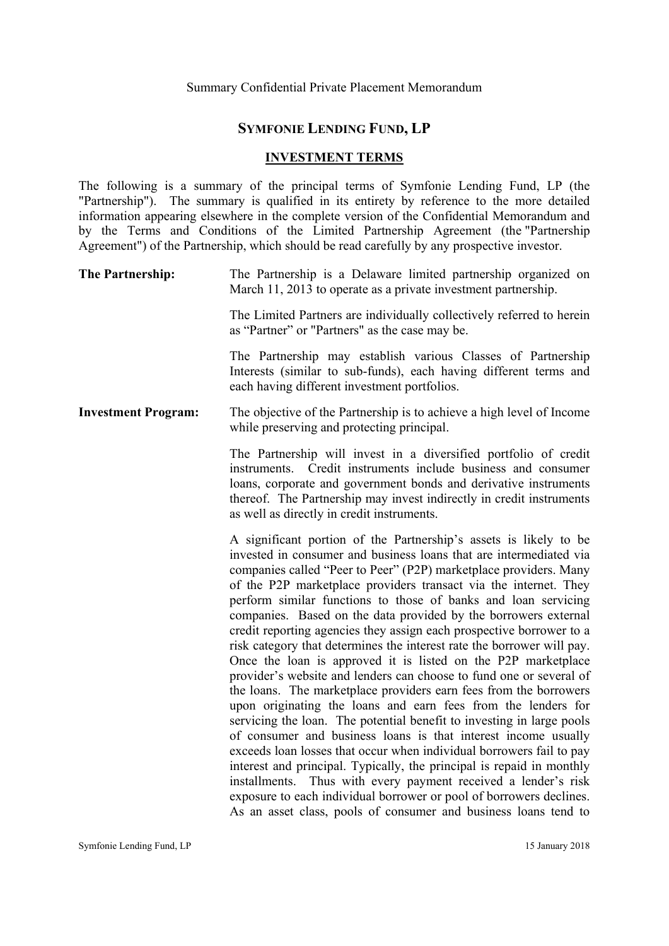### **SYMFONIE LENDING FUND, LP**

#### **INVESTMENT TERMS**

The following is a summary of the principal terms of Symfonie Lending Fund, LP (the "Partnership"). The summary is qualified in its entirety by reference to the more detailed information appearing elsewhere in the complete version of the Confidential Memorandum and by the Terms and Conditions of the Limited Partnership Agreement (the "Partnership Agreement") of the Partnership, which should be read carefully by any prospective investor.

| <b>The Partnership:</b> |  |  |  | The Partnership is a Delaware limited partnership organized on |  |
|-------------------------|--|--|--|----------------------------------------------------------------|--|
|                         |  |  |  | March 11, 2013 to operate as a private investment partnership. |  |

The Limited Partners are individually collectively referred to herein as "Partner" or "Partners" as the case may be.

The Partnership may establish various Classes of Partnership Interests (similar to sub-funds), each having different terms and each having different investment portfolios.

**Investment Program:** The objective of the Partnership is to achieve a high level of Income while preserving and protecting principal.

> The Partnership will invest in a diversified portfolio of credit instruments. Credit instruments include business and consumer loans, corporate and government bonds and derivative instruments thereof. The Partnership may invest indirectly in credit instruments as well as directly in credit instruments.

> A significant portion of the Partnership's assets is likely to be invested in consumer and business loans that are intermediated via companies called "Peer to Peer" (P2P) marketplace providers. Many of the P2P marketplace providers transact via the internet. They perform similar functions to those of banks and loan servicing companies. Based on the data provided by the borrowers external credit reporting agencies they assign each prospective borrower to a risk category that determines the interest rate the borrower will pay. Once the loan is approved it is listed on the P2P marketplace provider's website and lenders can choose to fund one or several of the loans. The marketplace providers earn fees from the borrowers upon originating the loans and earn fees from the lenders for servicing the loan. The potential benefit to investing in large pools of consumer and business loans is that interest income usually exceeds loan losses that occur when individual borrowers fail to pay interest and principal. Typically, the principal is repaid in monthly installments. Thus with every payment received a lender's risk exposure to each individual borrower or pool of borrowers declines. As an asset class, pools of consumer and business loans tend to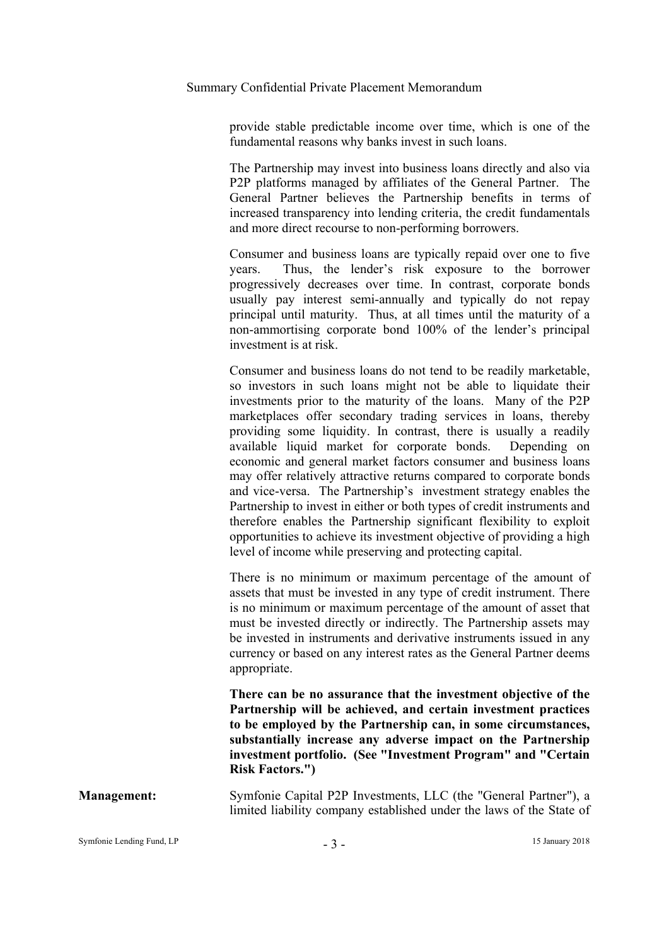provide stable predictable income over time, which is one of the fundamental reasons why banks invest in such loans.

The Partnership may invest into business loans directly and also via P2P platforms managed by affiliates of the General Partner. The General Partner believes the Partnership benefits in terms of increased transparency into lending criteria, the credit fundamentals and more direct recourse to non-performing borrowers.

Consumer and business loans are typically repaid over one to five years. Thus, the lender's risk exposure to the borrower progressively decreases over time. In contrast, corporate bonds usually pay interest semi-annually and typically do not repay principal until maturity. Thus, at all times until the maturity of a non-ammortising corporate bond 100% of the lender's principal investment is at risk.

Consumer and business loans do not tend to be readily marketable, so investors in such loans might not be able to liquidate their investments prior to the maturity of the loans. Many of the P2P marketplaces offer secondary trading services in loans, thereby providing some liquidity. In contrast, there is usually a readily available liquid market for corporate bonds. Depending on economic and general market factors consumer and business loans may offer relatively attractive returns compared to corporate bonds and vice-versa. The Partnership's investment strategy enables the Partnership to invest in either or both types of credit instruments and therefore enables the Partnership significant flexibility to exploit opportunities to achieve its investment objective of providing a high level of income while preserving and protecting capital.

There is no minimum or maximum percentage of the amount of assets that must be invested in any type of credit instrument. There is no minimum or maximum percentage of the amount of asset that must be invested directly or indirectly. The Partnership assets may be invested in instruments and derivative instruments issued in any currency or based on any interest rates as the General Partner deems appropriate.

**There can be no assurance that the investment objective of the Partnership will be achieved, and certain investment practices to be employed by the Partnership can, in some circumstances, substantially increase any adverse impact on the Partnership investment portfolio. (See "Investment Program" and "Certain Risk Factors.")**

**Management:** Symfonie Capital P2P Investments, LLC (the "General Partner"), a limited liability company established under the laws of the State of

Symfonie Lending Fund, LP <sup>3</sup> - <sup>3</sup> - <sup>3</sup> - <sup>15 January 2018</sup>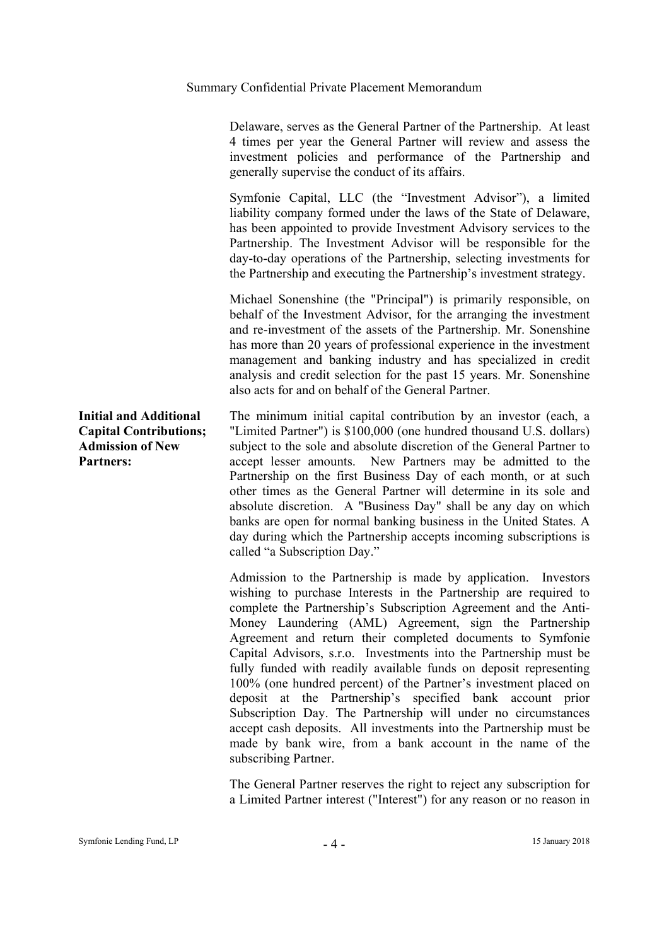Delaware, serves as the General Partner of the Partnership. At least 4 times per year the General Partner will review and assess the investment policies and performance of the Partnership and generally supervise the conduct of its affairs.

Symfonie Capital, LLC (the "Investment Advisor"), a limited liability company formed under the laws of the State of Delaware, has been appointed to provide Investment Advisory services to the Partnership. The Investment Advisor will be responsible for the day-to-day operations of the Partnership, selecting investments for the Partnership and executing the Partnership's investment strategy.

Michael Sonenshine (the "Principal") is primarily responsible, on behalf of the Investment Advisor, for the arranging the investment and re-investment of the assets of the Partnership. Mr. Sonenshine has more than 20 years of professional experience in the investment management and banking industry and has specialized in credit analysis and credit selection for the past 15 years. Mr. Sonenshine also acts for and on behalf of the General Partner.

The minimum initial capital contribution by an investor (each, a "Limited Partner") is \$100,000 (one hundred thousand U.S. dollars) subject to the sole and absolute discretion of the General Partner to accept lesser amounts. New Partners may be admitted to the Partnership on the first Business Day of each month, or at such other times as the General Partner will determine in its sole and absolute discretion. A "Business Day" shall be any day on which banks are open for normal banking business in the United States. A day during which the Partnership accepts incoming subscriptions is called "a Subscription Day."

Admission to the Partnership is made by application. Investors wishing to purchase Interests in the Partnership are required to complete the Partnership's Subscription Agreement and the Anti-Money Laundering (AML) Agreement, sign the Partnership Agreement and return their completed documents to Symfonie Capital Advisors, s.r.o. Investments into the Partnership must be fully funded with readily available funds on deposit representing 100% (one hundred percent) of the Partner's investment placed on deposit at the Partnership's specified bank account prior Subscription Day. The Partnership will under no circumstances accept cash deposits. All investments into the Partnership must be made by bank wire, from a bank account in the name of the subscribing Partner.

The General Partner reserves the right to reject any subscription for a Limited Partner interest ("Interest") for any reason or no reason in

# **Initial and Additional Capital Contributions; Admission of New Partners:**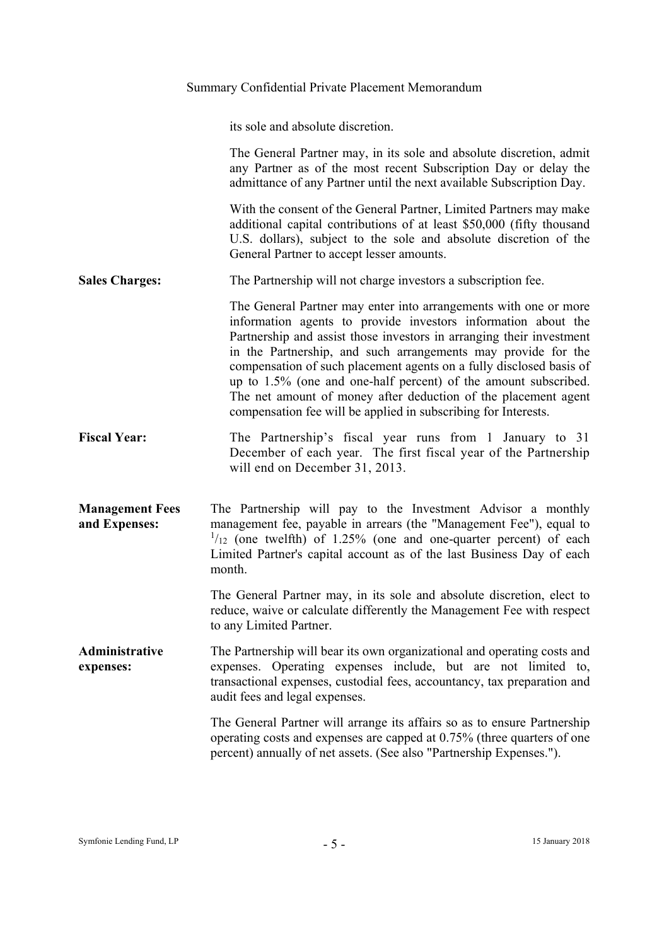|                                         | Summary Confidential Private Placement Memorandum                                                                                                                                                                                                                                                                                                                                                                                                                                                                                                        |
|-----------------------------------------|----------------------------------------------------------------------------------------------------------------------------------------------------------------------------------------------------------------------------------------------------------------------------------------------------------------------------------------------------------------------------------------------------------------------------------------------------------------------------------------------------------------------------------------------------------|
|                                         | its sole and absolute discretion.                                                                                                                                                                                                                                                                                                                                                                                                                                                                                                                        |
|                                         | The General Partner may, in its sole and absolute discretion, admit<br>any Partner as of the most recent Subscription Day or delay the<br>admittance of any Partner until the next available Subscription Day.                                                                                                                                                                                                                                                                                                                                           |
|                                         | With the consent of the General Partner, Limited Partners may make<br>additional capital contributions of at least \$50,000 (fifty thousand<br>U.S. dollars), subject to the sole and absolute discretion of the<br>General Partner to accept lesser amounts.                                                                                                                                                                                                                                                                                            |
| <b>Sales Charges:</b>                   | The Partnership will not charge investors a subscription fee.                                                                                                                                                                                                                                                                                                                                                                                                                                                                                            |
|                                         | The General Partner may enter into arrangements with one or more<br>information agents to provide investors information about the<br>Partnership and assist those investors in arranging their investment<br>in the Partnership, and such arrangements may provide for the<br>compensation of such placement agents on a fully disclosed basis of<br>up to 1.5% (one and one-half percent) of the amount subscribed.<br>The net amount of money after deduction of the placement agent<br>compensation fee will be applied in subscribing for Interests. |
| <b>Fiscal Year:</b>                     | The Partnership's fiscal year runs from 1 January to 31<br>December of each year. The first fiscal year of the Partnership<br>will end on December 31, 2013.                                                                                                                                                                                                                                                                                                                                                                                             |
| <b>Management Fees</b><br>and Expenses: | The Partnership will pay to the Investment Advisor a monthly<br>management fee, payable in arrears (the "Management Fee"), equal to<br>$\frac{1}{12}$ (one twelfth) of 1.25% (one and one-quarter percent) of each<br>Limited Partner's capital account as of the last Business Day of each<br>month.                                                                                                                                                                                                                                                    |
|                                         | The General Partner may, in its sole and absolute discretion, elect to<br>reduce, waive or calculate differently the Management Fee with respect<br>to any Limited Partner.                                                                                                                                                                                                                                                                                                                                                                              |
| <b>Administrative</b><br>expenses:      | The Partnership will bear its own organizational and operating costs and<br>expenses. Operating expenses include, but are not limited to,<br>transactional expenses, custodial fees, accountancy, tax preparation and<br>audit fees and legal expenses.                                                                                                                                                                                                                                                                                                  |
|                                         | The General Partner will arrange its affairs so as to ensure Partnership<br>operating costs and expenses are capped at 0.75% (three quarters of one<br>percent) annually of net assets. (See also "Partnership Expenses.").                                                                                                                                                                                                                                                                                                                              |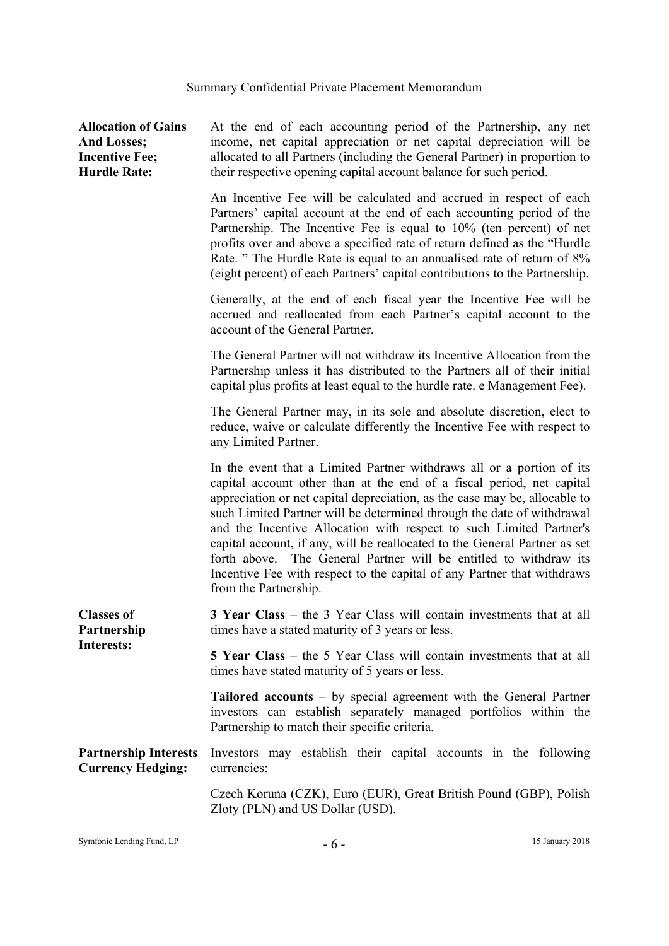| <b>Allocation of Gains</b><br><b>And Losses;</b><br><b>Incentive Fee;</b><br><b>Hurdle Rate:</b> | At the end of each accounting period of the Partnership, any net<br>income, net capital appreciation or net capital depreciation will be<br>allocated to all Partners (including the General Partner) in proportion to<br>their respective opening capital account balance for such period.                                                                                                                                                                                                                                                                                                                                             |
|--------------------------------------------------------------------------------------------------|-----------------------------------------------------------------------------------------------------------------------------------------------------------------------------------------------------------------------------------------------------------------------------------------------------------------------------------------------------------------------------------------------------------------------------------------------------------------------------------------------------------------------------------------------------------------------------------------------------------------------------------------|
|                                                                                                  | An Incentive Fee will be calculated and accrued in respect of each<br>Partners' capital account at the end of each accounting period of the<br>Partnership. The Incentive Fee is equal to 10% (ten percent) of net<br>profits over and above a specified rate of return defined as the "Hurdle"<br>Rate. " The Hurdle Rate is equal to an annualised rate of return of 8%<br>(eight percent) of each Partners' capital contributions to the Partnership.                                                                                                                                                                                |
|                                                                                                  | Generally, at the end of each fiscal year the Incentive Fee will be<br>accrued and reallocated from each Partner's capital account to the<br>account of the General Partner.                                                                                                                                                                                                                                                                                                                                                                                                                                                            |
|                                                                                                  | The General Partner will not withdraw its Incentive Allocation from the<br>Partnership unless it has distributed to the Partners all of their initial<br>capital plus profits at least equal to the hurdle rate. e Management Fee).                                                                                                                                                                                                                                                                                                                                                                                                     |
|                                                                                                  | The General Partner may, in its sole and absolute discretion, elect to<br>reduce, waive or calculate differently the Incentive Fee with respect to<br>any Limited Partner.                                                                                                                                                                                                                                                                                                                                                                                                                                                              |
|                                                                                                  | In the event that a Limited Partner withdraws all or a portion of its<br>capital account other than at the end of a fiscal period, net capital<br>appreciation or net capital depreciation, as the case may be, allocable to<br>such Limited Partner will be determined through the date of withdrawal<br>and the Incentive Allocation with respect to such Limited Partner's<br>capital account, if any, will be reallocated to the General Partner as set<br>The General Partner will be entitled to withdraw its<br>forth above.<br>Incentive Fee with respect to the capital of any Partner that withdraws<br>from the Partnership. |
| <b>Classes of</b><br>Partnership<br>Interests:                                                   | 3 Year Class - the 3 Year Class will contain investments that at all<br>times have a stated maturity of 3 years or less.                                                                                                                                                                                                                                                                                                                                                                                                                                                                                                                |
|                                                                                                  | <b>5 Year Class</b> – the 5 Year Class will contain investments that at all<br>times have stated maturity of 5 years or less.                                                                                                                                                                                                                                                                                                                                                                                                                                                                                                           |
|                                                                                                  | <b>Tailored accounts</b> $-$ by special agreement with the General Partner<br>investors can establish separately managed portfolios within the<br>Partnership to match their specific criteria.                                                                                                                                                                                                                                                                                                                                                                                                                                         |
| <b>Partnership Interests</b><br><b>Currency Hedging:</b>                                         | Investors may establish their capital accounts in the following<br>currencies:                                                                                                                                                                                                                                                                                                                                                                                                                                                                                                                                                          |
|                                                                                                  | Czech Koruna (CZK), Euro (EUR), Great British Pound (GBP), Polish<br>Zloty (PLN) and US Dollar (USD).                                                                                                                                                                                                                                                                                                                                                                                                                                                                                                                                   |

Symfonie Lending Fund, LP  $-6 -$  15 January 2018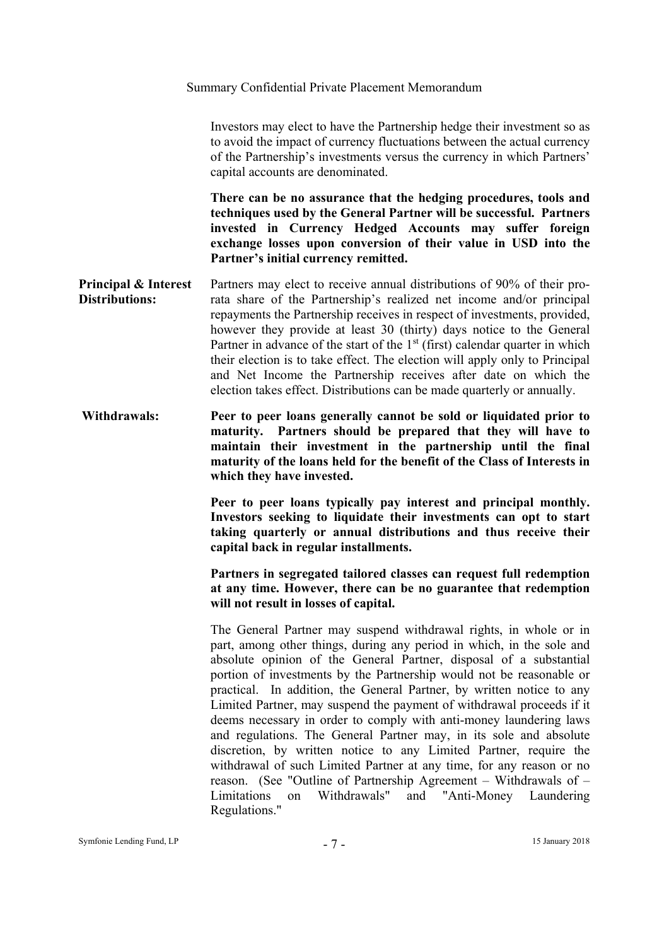Investors may elect to have the Partnership hedge their investment so as to avoid the impact of currency fluctuations between the actual currency of the Partnership's investments versus the currency in which Partners' capital accounts are denominated.

**There can be no assurance that the hedging procedures, tools and techniques used by the General Partner will be successful. Partners invested in Currency Hedged Accounts may suffer foreign exchange losses upon conversion of their value in USD into the Partner's initial currency remitted.** 

- **Principal & Interest Distributions:**  Partners may elect to receive annual distributions of 90% of their prorata share of the Partnership's realized net income and/or principal repayments the Partnership receives in respect of investments, provided, however they provide at least 30 (thirty) days notice to the General Partner in advance of the start of the  $1<sup>st</sup>$  (first) calendar quarter in which their election is to take effect. The election will apply only to Principal and Net Income the Partnership receives after date on which the election takes effect. Distributions can be made quarterly or annually.
- **Withdrawals: Peer to peer loans generally cannot be sold or liquidated prior to maturity. Partners should be prepared that they will have to maintain their investment in the partnership until the final maturity of the loans held for the benefit of the Class of Interests in which they have invested.**

**Peer to peer loans typically pay interest and principal monthly. Investors seeking to liquidate their investments can opt to start taking quarterly or annual distributions and thus receive their capital back in regular installments.** 

**Partners in segregated tailored classes can request full redemption at any time. However, there can be no guarantee that redemption will not result in losses of capital.** 

The General Partner may suspend withdrawal rights, in whole or in part, among other things, during any period in which, in the sole and absolute opinion of the General Partner, disposal of a substantial portion of investments by the Partnership would not be reasonable or practical. In addition, the General Partner, by written notice to any Limited Partner, may suspend the payment of withdrawal proceeds if it deems necessary in order to comply with anti-money laundering laws and regulations. The General Partner may, in its sole and absolute discretion, by written notice to any Limited Partner, require the withdrawal of such Limited Partner at any time, for any reason or no reason. (See "Outline of Partnership Agreement – Withdrawals of – Limitations on Withdrawals" and "Anti-Money Laundering Regulations."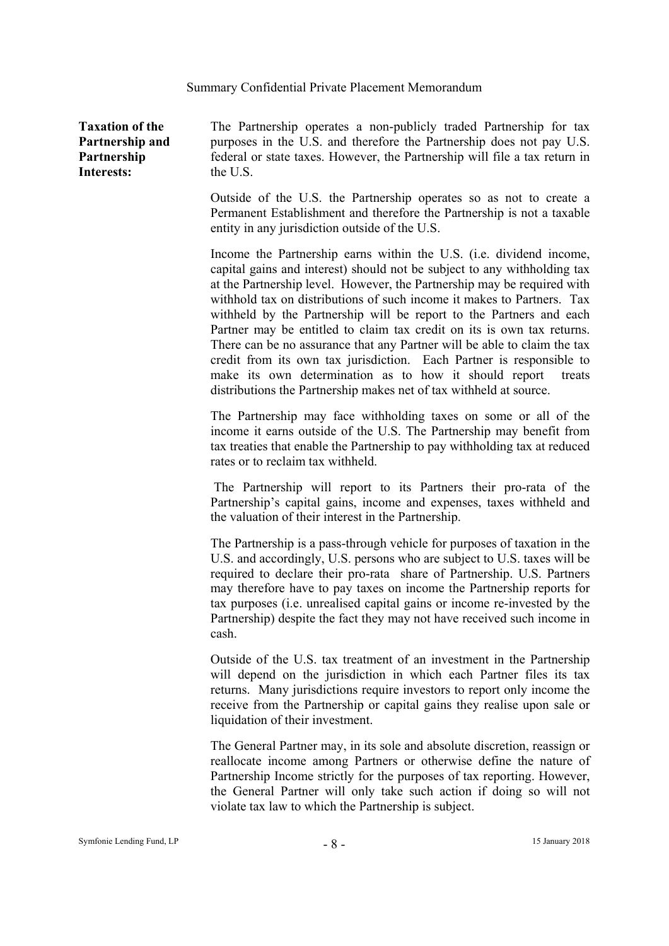**Taxation of the Partnership and Partnership Interests:** 

The Partnership operates a non-publicly traded Partnership for tax purposes in the U.S. and therefore the Partnership does not pay U.S. federal or state taxes. However, the Partnership will file a tax return in the U.S.

Outside of the U.S. the Partnership operates so as not to create a Permanent Establishment and therefore the Partnership is not a taxable entity in any jurisdiction outside of the U.S.

Income the Partnership earns within the U.S. (i.e. dividend income, capital gains and interest) should not be subject to any withholding tax at the Partnership level. However, the Partnership may be required with withhold tax on distributions of such income it makes to Partners. Tax withheld by the Partnership will be report to the Partners and each Partner may be entitled to claim tax credit on its is own tax returns. There can be no assurance that any Partner will be able to claim the tax credit from its own tax jurisdiction. Each Partner is responsible to make its own determination as to how it should report treats distributions the Partnership makes net of tax withheld at source.

The Partnership may face withholding taxes on some or all of the income it earns outside of the U.S. The Partnership may benefit from tax treaties that enable the Partnership to pay withholding tax at reduced rates or to reclaim tax withheld.

 The Partnership will report to its Partners their pro-rata of the Partnership's capital gains, income and expenses, taxes withheld and the valuation of their interest in the Partnership.

The Partnership is a pass-through vehicle for purposes of taxation in the U.S. and accordingly, U.S. persons who are subject to U.S. taxes will be required to declare their pro-rata share of Partnership. U.S. Partners may therefore have to pay taxes on income the Partnership reports for tax purposes (i.e. unrealised capital gains or income re-invested by the Partnership) despite the fact they may not have received such income in cash.

Outside of the U.S. tax treatment of an investment in the Partnership will depend on the jurisdiction in which each Partner files its tax returns. Many jurisdictions require investors to report only income the receive from the Partnership or capital gains they realise upon sale or liquidation of their investment.

The General Partner may, in its sole and absolute discretion, reassign or reallocate income among Partners or otherwise define the nature of Partnership Income strictly for the purposes of tax reporting. However, the General Partner will only take such action if doing so will not violate tax law to which the Partnership is subject.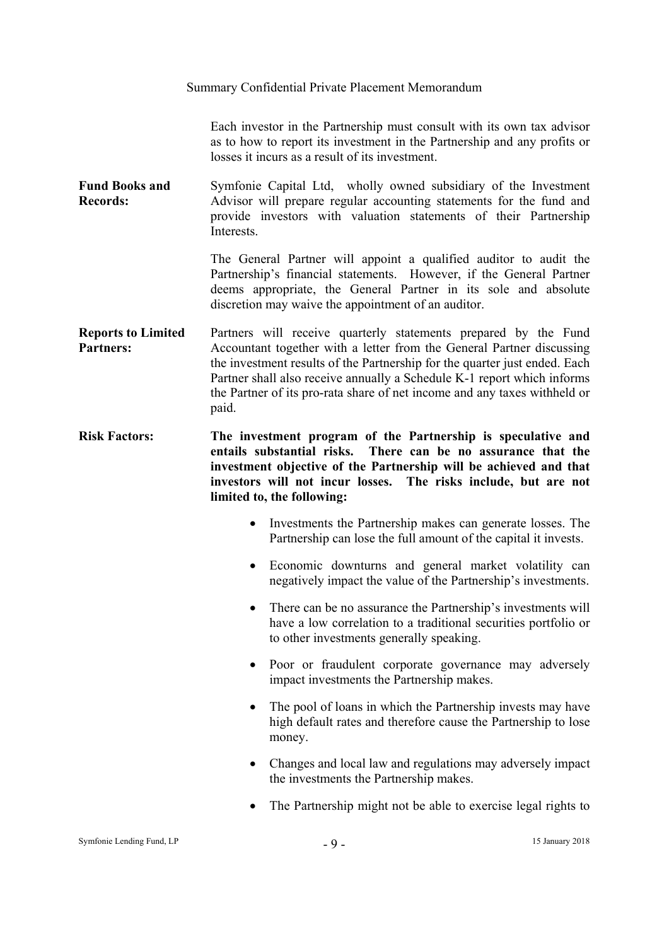Each investor in the Partnership must consult with its own tax advisor as to how to report its investment in the Partnership and any profits or losses it incurs as a result of its investment.

**Fund Books and Records:**  Symfonie Capital Ltd, wholly owned subsidiary of the Investment Advisor will prepare regular accounting statements for the fund and provide investors with valuation statements of their Partnership **Interests** 

> The General Partner will appoint a qualified auditor to audit the Partnership's financial statements. However, if the General Partner deems appropriate, the General Partner in its sole and absolute discretion may waive the appointment of an auditor.

**Reports to Limited Partners:**  Partners will receive quarterly statements prepared by the Fund Accountant together with a letter from the General Partner discussing the investment results of the Partnership for the quarter just ended. Each Partner shall also receive annually a Schedule K-1 report which informs the Partner of its pro-rata share of net income and any taxes withheld or paid.

**Risk Factors: The investment program of the Partnership is speculative and entails substantial risks. There can be no assurance that the investment objective of the Partnership will be achieved and that investors will not incur losses. The risks include, but are not limited to, the following:** 

- Investments the Partnership makes can generate losses. The Partnership can lose the full amount of the capital it invests.
- Economic downturns and general market volatility can negatively impact the value of the Partnership's investments.
- There can be no assurance the Partnership's investments will have a low correlation to a traditional securities portfolio or to other investments generally speaking.
- Poor or fraudulent corporate governance may adversely impact investments the Partnership makes.
- The pool of loans in which the Partnership invests may have high default rates and therefore cause the Partnership to lose money.
- Changes and local law and regulations may adversely impact the investments the Partnership makes.
- The Partnership might not be able to exercise legal rights to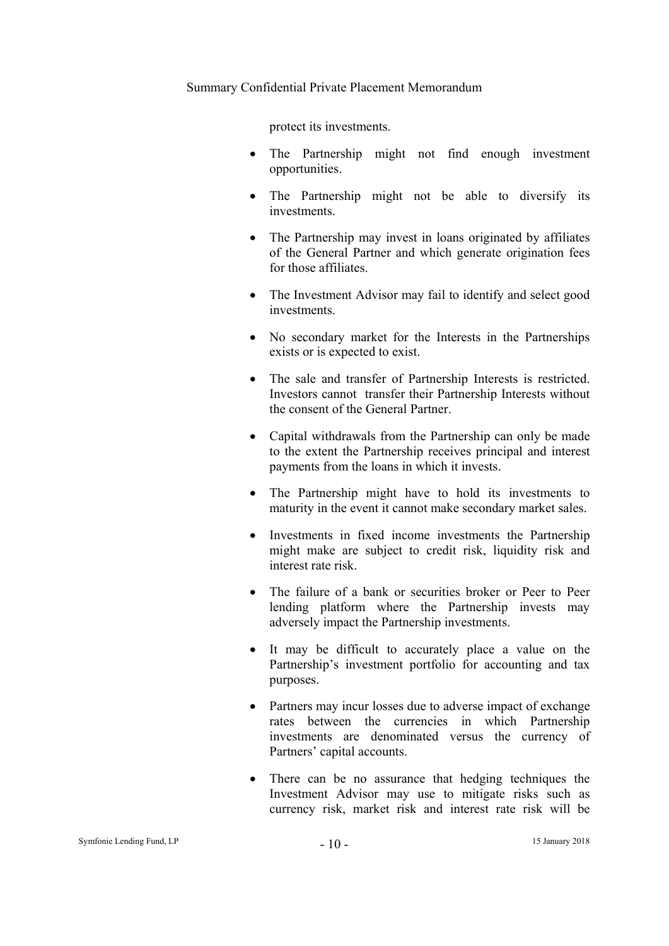protect its investments.

- The Partnership might not find enough investment opportunities.
- The Partnership might not be able to diversify its investments.
- The Partnership may invest in loans originated by affiliates of the General Partner and which generate origination fees for those affiliates.
- The Investment Advisor may fail to identify and select good investments.
- No secondary market for the Interests in the Partnerships exists or is expected to exist.
- The sale and transfer of Partnership Interests is restricted. Investors cannot transfer their Partnership Interests without the consent of the General Partner.
- Capital withdrawals from the Partnership can only be made to the extent the Partnership receives principal and interest payments from the loans in which it invests.
- The Partnership might have to hold its investments to maturity in the event it cannot make secondary market sales.
- Investments in fixed income investments the Partnership might make are subject to credit risk, liquidity risk and interest rate risk.
- The failure of a bank or securities broker or Peer to Peer lending platform where the Partnership invests may adversely impact the Partnership investments.
- It may be difficult to accurately place a value on the Partnership's investment portfolio for accounting and tax purposes.
- Partners may incur losses due to adverse impact of exchange rates between the currencies in which Partnership investments are denominated versus the currency of Partners' capital accounts.
- There can be no assurance that hedging techniques the Investment Advisor may use to mitigate risks such as currency risk, market risk and interest rate risk will be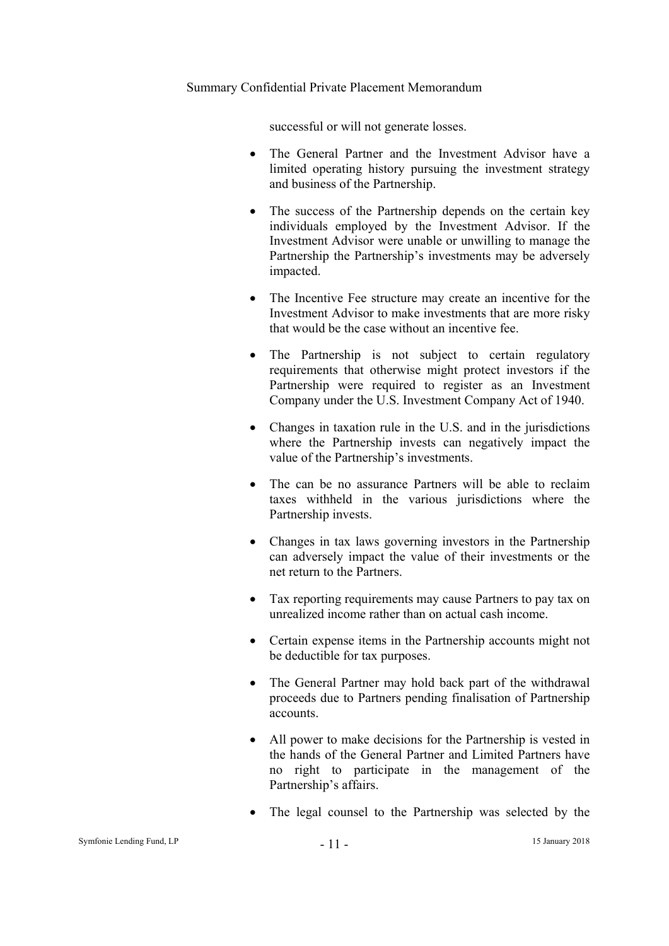successful or will not generate losses.

- The General Partner and the Investment Advisor have a limited operating history pursuing the investment strategy and business of the Partnership.
- The success of the Partnership depends on the certain key individuals employed by the Investment Advisor. If the Investment Advisor were unable or unwilling to manage the Partnership the Partnership's investments may be adversely impacted.
- The Incentive Fee structure may create an incentive for the Investment Advisor to make investments that are more risky that would be the case without an incentive fee.
- The Partnership is not subject to certain regulatory requirements that otherwise might protect investors if the Partnership were required to register as an Investment Company under the U.S. Investment Company Act of 1940.
- Changes in taxation rule in the U.S. and in the jurisdictions where the Partnership invests can negatively impact the value of the Partnership's investments.
- The can be no assurance Partners will be able to reclaim taxes withheld in the various jurisdictions where the Partnership invests.
- Changes in tax laws governing investors in the Partnership can adversely impact the value of their investments or the net return to the Partners.
- Tax reporting requirements may cause Partners to pay tax on unrealized income rather than on actual cash income.
- Certain expense items in the Partnership accounts might not be deductible for tax purposes.
- The General Partner may hold back part of the withdrawal proceeds due to Partners pending finalisation of Partnership accounts.
- All power to make decisions for the Partnership is vested in the hands of the General Partner and Limited Partners have no right to participate in the management of the Partnership's affairs.
- The legal counsel to the Partnership was selected by the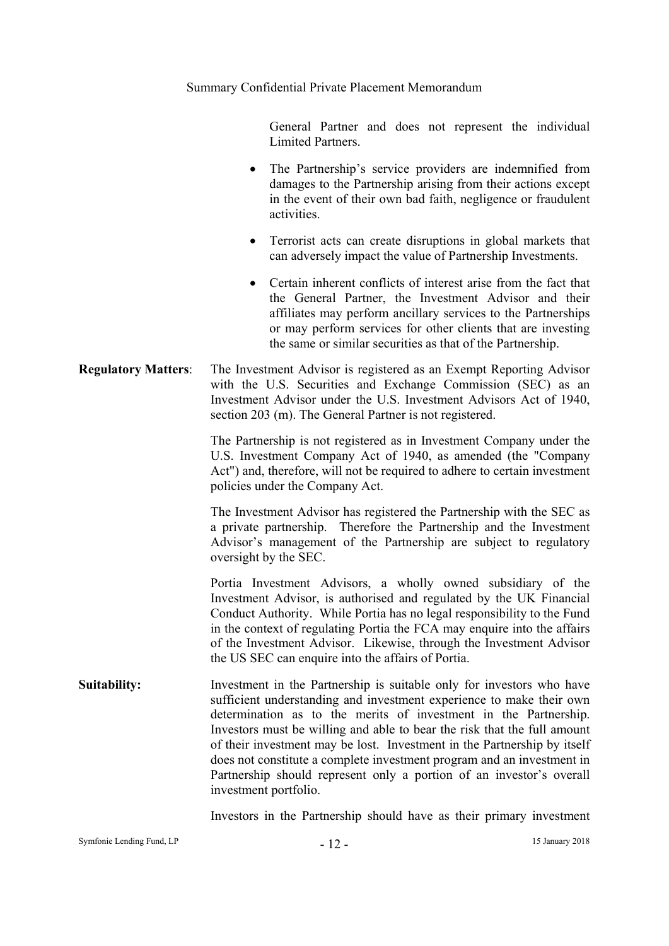General Partner and does not represent the individual Limited Partners.

- The Partnership's service providers are indemnified from damages to the Partnership arising from their actions except in the event of their own bad faith, negligence or fraudulent activities.
- Terrorist acts can create disruptions in global markets that can adversely impact the value of Partnership Investments.
- Certain inherent conflicts of interest arise from the fact that the General Partner, the Investment Advisor and their affiliates may perform ancillary services to the Partnerships or may perform services for other clients that are investing the same or similar securities as that of the Partnership.

# **Regulatory Matters**: The Investment Advisor is registered as an Exempt Reporting Advisor with the U.S. Securities and Exchange Commission (SEC) as an Investment Advisor under the U.S. Investment Advisors Act of 1940, section 203 (m). The General Partner is not registered.

The Partnership is not registered as in Investment Company under the U.S. Investment Company Act of 1940, as amended (the "Company Act") and, therefore, will not be required to adhere to certain investment policies under the Company Act.

The Investment Advisor has registered the Partnership with the SEC as a private partnership. Therefore the Partnership and the Investment Advisor's management of the Partnership are subject to regulatory oversight by the SEC.

Portia Investment Advisors, a wholly owned subsidiary of the Investment Advisor, is authorised and regulated by the UK Financial Conduct Authority. While Portia has no legal responsibility to the Fund in the context of regulating Portia the FCA may enquire into the affairs of the Investment Advisor. Likewise, through the Investment Advisor the US SEC can enquire into the affairs of Portia.

**Suitability:** Investment in the Partnership is suitable only for investors who have sufficient understanding and investment experience to make their own determination as to the merits of investment in the Partnership. Investors must be willing and able to bear the risk that the full amount of their investment may be lost. Investment in the Partnership by itself does not constitute a complete investment program and an investment in Partnership should represent only a portion of an investor's overall investment portfolio.

Investors in the Partnership should have as their primary investment

Symfonie Lending Fund, LP - 12 - 15 January 2018